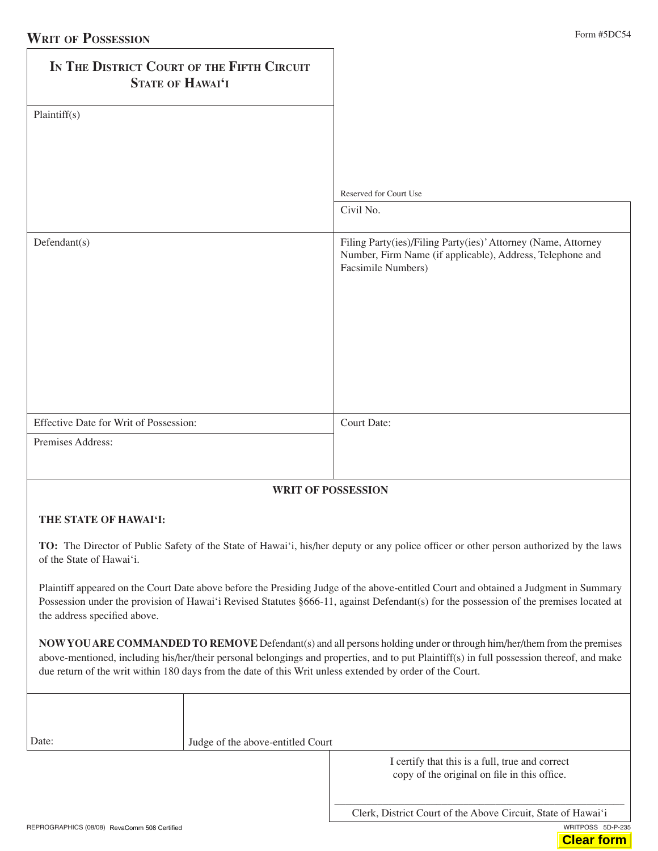| IN THE DISTRICT COURT OF THE FIFTH CIRCUIT<br>STATE OF HAWAI'I |                                                                                                                                                  |
|----------------------------------------------------------------|--------------------------------------------------------------------------------------------------------------------------------------------------|
| Plaintiff(s)                                                   |                                                                                                                                                  |
|                                                                | Reserved for Court Use                                                                                                                           |
|                                                                | Civil No.                                                                                                                                        |
| Defendant(s)                                                   | Filing Party(ies)/Filing Party(ies)' Attorney (Name, Attorney<br>Number, Firm Name (if applicable), Address, Telephone and<br>Facsimile Numbers) |
| Effective Date for Writ of Possession:                         | Court Date:                                                                                                                                      |
| Premises Address:                                              |                                                                                                                                                  |

## **writ of possession**

## **tHe stAte of HAwAi'i:**

**to:** The Director of Public Safety of the State of Hawai'i, his/her deputy or any police officer or other person authorized by the laws of the State of Hawai'i.

Plaintiff appeared on the Court Date above before the Presiding Judge of the above-entitled Court and obtained a Judgment in Summary Possession under the provision of Hawai'i Revised Statutes §666-11, against Defendant(s) for the possession of the premises located at the address specified above.

**NOW YOU ARE COMMANDED TO REMOVE** Defendant(s) and all persons holding under or through him/her/them from the premises above-mentioned, including his/her/their personal belongings and properties, and to put Plaintiff(s) in full possession thereof, and make due return of the writ within 180 days from the date of this Writ unless extended by order of the Court.

| Date: | Judge of the above-entitled Court |                                                                                                 |
|-------|-----------------------------------|-------------------------------------------------------------------------------------------------|
|       |                                   | I certify that this is a full, true and correct<br>copy of the original on file in this office. |

REPROGRAPHICS (08/08) RevaComm 508 Certified was also contained writing the contact of the contact of the contact of the contact of the contact of the contact of the contact of the contact of the contact of the contact of

Clerk, District Court of the Above Circuit, State of Hawai'i